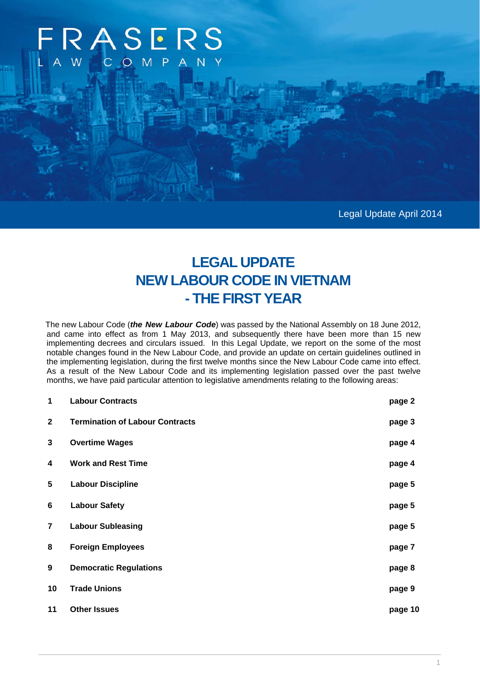# FRASERS

Legal Update April 2014

# **LEGAL UPDATE NEW LABOUR CODE IN VIETNAM - THE FIRST YEAR**

The new Labour Code (*the New Labour Code*) was passed by the National Assembly on 18 June 2012, and came into effect as from 1 May 2013, and subsequently there have been more than 15 new implementing decrees and circulars issued. In this Legal Update, we report on the some of the most notable changes found in the New Labour Code, and provide an update on certain guidelines outlined in the implementing legislation, during the first twelve months since the New Labour Code came into effect. As a result of the New Labour Code and its implementing legislation passed over the past twelve months, we have paid particular attention to legislative amendments relating to the following areas:

| 1                       | <b>Labour Contracts</b>                | page 2  |
|-------------------------|----------------------------------------|---------|
| $\mathbf{2}$            | <b>Termination of Labour Contracts</b> | page 3  |
| 3                       | <b>Overtime Wages</b>                  | page 4  |
| $\overline{\bf{4}}$     | <b>Work and Rest Time</b>              | page 4  |
| 5                       | <b>Labour Discipline</b>               | page 5  |
| 6                       | <b>Labour Safety</b>                   | page 5  |
| $\overline{\mathbf{r}}$ | <b>Labour Subleasing</b>               | page 5  |
| 8                       | <b>Foreign Employees</b>               | page 7  |
| 9                       | <b>Democratic Regulations</b>          | page 8  |
| 10                      | <b>Trade Unions</b>                    | page 9  |
| 11                      | <b>Other Issues</b>                    | page 10 |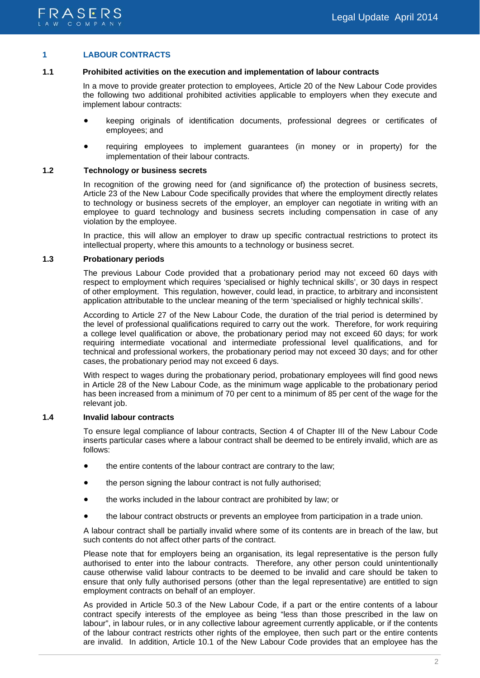

### **1 LABOUR CONTRACTS**

#### **1.1 Prohibited activities on the execution and implementation of labour contracts**

 In a move to provide greater protection to employees, Article 20 of the New Labour Code provides the following two additional prohibited activities applicable to employers when they execute and implement labour contracts:

- keeping originals of identification documents, professional degrees or certificates of employees; and
- requiring employees to implement guarantees (in money or in property) for the implementation of their labour contracts.

#### **1.2 Technology or business secrets**

In recognition of the growing need for (and significance of) the protection of business secrets, Article 23 of the New Labour Code specifically provides that where the employment directly relates to technology or business secrets of the employer, an employer can negotiate in writing with an employee to guard technology and business secrets including compensation in case of any violation by the employee.

In practice, this will allow an employer to draw up specific contractual restrictions to protect its intellectual property, where this amounts to a technology or business secret.

#### **1.3 Probationary periods**

The previous Labour Code provided that a probationary period may not exceed 60 days with respect to employment which requires 'specialised or highly technical skills', or 30 days in respect of other employment. This regulation, however, could lead, in practice, to arbitrary and inconsistent application attributable to the unclear meaning of the term 'specialised or highly technical skills'.

According to Article 27 of the New Labour Code, the duration of the trial period is determined by the level of professional qualifications required to carry out the work. Therefore, for work requiring a college level qualification or above, the probationary period may not exceed 60 days; for work requiring intermediate vocational and intermediate professional level qualifications, and for technical and professional workers, the probationary period may not exceed 30 days; and for other cases, the probationary period may not exceed 6 days.

With respect to wages during the probationary period, probationary employees will find good news in Article 28 of the New Labour Code, as the minimum wage applicable to the probationary period has been increased from a minimum of 70 per cent to a minimum of 85 per cent of the wage for the relevant job.

#### **1.4 Invalid labour contracts**

To ensure legal compliance of labour contracts, Section 4 of Chapter III of the New Labour Code inserts particular cases where a labour contract shall be deemed to be entirely invalid, which are as follows:

- the entire contents of the labour contract are contrary to the law;
- the person signing the labour contract is not fully authorised;
- the works included in the labour contract are prohibited by law; or
- the labour contract obstructs or prevents an employee from participation in a trade union.

A labour contract shall be partially invalid where some of its contents are in breach of the law, but such contents do not affect other parts of the contract.

Please note that for employers being an organisation, its legal representative is the person fully authorised to enter into the labour contracts. Therefore, any other person could unintentionally cause otherwise valid labour contracts to be deemed to be invalid and care should be taken to ensure that only fully authorised persons (other than the legal representative) are entitled to sign employment contracts on behalf of an employer.

As provided in Article 50.3 of the New Labour Code, if a part or the entire contents of a labour contract specify interests of the employee as being "less than those prescribed in the law on labour", in labour rules, or in any collective labour agreement currently applicable, or if the contents of the labour contract restricts other rights of the employee, then such part or the entire contents are invalid. In addition, Article 10.1 of the New Labour Code provides that an employee has the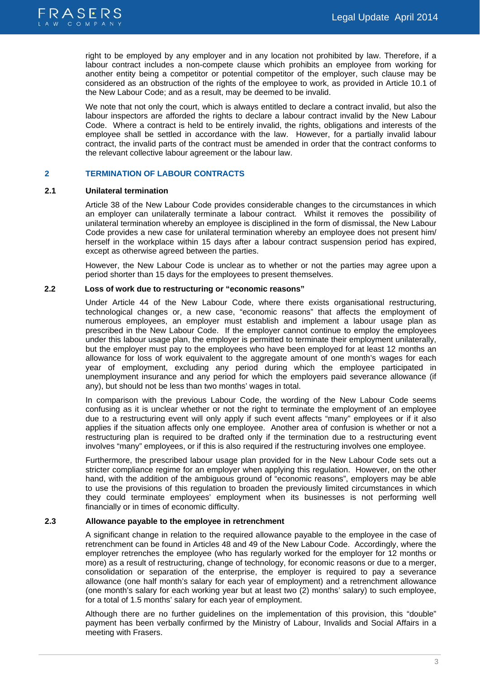<span id="page-2-0"></span>

right to be employed by any employer and in any location not prohibited by law. Therefore, if a labour contract includes a non-compete clause which prohibits an employee from working for another entity being a competitor or potential competitor of the employer, such clause may be considered as an obstruction of the rights of the employee to work, as provided in Article 10.1 of the New Labour Code; and as a result, may be deemed to be invalid.

We note that not only the court, which is always entitled to declare a contract invalid, but also the labour inspectors are afforded the rights to declare a labour contract invalid by the New Labour Code. Where a contract is held to be entirely invalid, the rights, obligations and interests of the employee shall be settled in accordance with the law. However, for a partially invalid labour contract, the invalid parts of the contract must be amended in order that the contract conforms to the relevant collective labour agreement or the labour law.

# **2 TERMINATION OF LABOUR CONTRACTS**

## **2.1 Unilateral termination**

Article 38 of the New Labour Code provides considerable changes to the circumstances in which an employer can unilaterally terminate a labour contract. Whilst it removes the possibility of unilateral termination whereby an employee is disciplined in the form of dismissal, the New Labour Code provides a new case for unilateral termination whereby an employee does not present him/ herself in the workplace within 15 days after a labour contract suspension period has expired, except as otherwise agreed between the parties.

However, the New Labour Code is unclear as to whether or not the parties may agree upon a period shorter than 15 days for the employees to present themselves.

# **2.2 Loss of work due to restructuring or "economic reasons"**

Under Article 44 of the New Labour Code, where there exists organisational restructuring, technological changes or, a new case, "economic reasons" that affects the employment of numerous employees, an employer must establish and implement a labour usage plan as prescribed in the New Labour Code. If the employer cannot continue to employ the employees under this labour usage plan, the employer is permitted to terminate their employment unilaterally, but the employer must pay to the employees who have been employed for at least 12 months an allowance for loss of work equivalent to the aggregate amount of one month's wages for each year of employment, excluding any period during which the employee participated in unemployment insurance and any period for which the employers paid severance allowance (if any), but should not be less than two months' wages in total.

In comparison with the previous Labour Code, the wording of the New Labour Code seems confusing as it is unclear whether or not the right to terminate the employment of an employee due to a restructuring event will only apply if such event affects "many" employees or if it also applies if the situation affects only one employee. Another area of confusion is whether or not a restructuring plan is required to be drafted only if the termination due to a restructuring event involves "many" employees, or if this is also required if the restructuring involves one employee.

Furthermore, the prescribed labour usage plan provided for in the New Labour Code sets out a stricter compliance regime for an employer when applying this regulation. However, on the other hand, with the addition of the ambiguous ground of "economic reasons", employers may be able to use the provisions of this regulation to broaden the previously limited circumstances in which they could terminate employees' employment when its businesses is not performing well financially or in times of economic difficulty.

# **2.3 Allowance payable to the employee in retrenchment**

A significant change in relation to the required allowance payable to the employee in the case of retrenchment can be found in Articles 48 and 49 of the New Labour Code. Accordingly, where the employer retrenches the employee (who has regularly worked for the employer for 12 months or more) as a result of restructuring, change of technology, for economic reasons or due to a merger, consolidation or separation of the enterprise, the employer is required to pay a severance allowance (one half month's salary for each year of employment) and a retrenchment allowance (one month's salary for each working year but at least two (2) months' salary) to such employee, for a total of 1.5 months' salary for each year of employment.

Although there are no further guidelines on the implementation of this provision, this "double" payment has been verbally confirmed by the Ministry of Labour, Invalids and Social Affairs in a meeting with Frasers.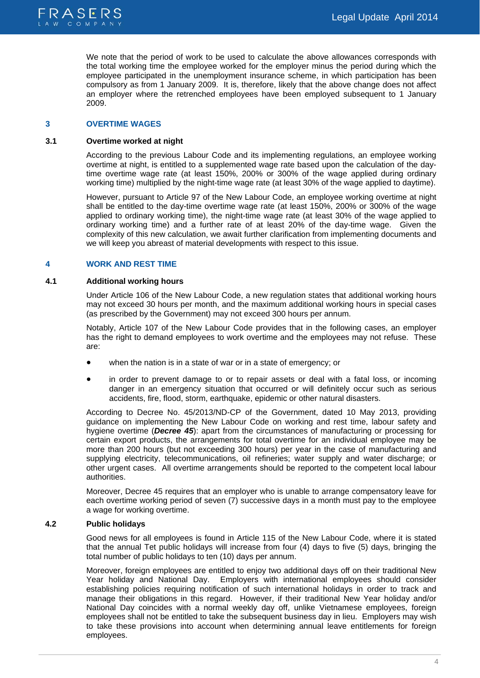

We note that the period of work to be used to calculate the above allowances corresponds with the total working time the employee worked for the employer minus the period during which the employee participated in the unemployment insurance scheme, in which participation has been compulsory as from 1 January 2009. It is, therefore, likely that the above change does not affect an employer where the retrenched employees have been employed subsequent to 1 January 2009.

#### **3 OVERTIME WAGES**

#### **3.1 Overtime worked at night**

According to the previous Labour Code and its implementing regulations, an employee working overtime at night, is entitled to a supplemented wage rate based upon the calculation of the daytime overtime wage rate (at least 150%, 200% or 300% of the wage applied during ordinary working time) multiplied by the night-time wage rate (at least 30% of the wage applied to daytime).

However, pursuant to Article 97 of the New Labour Code, an employee working overtime at night shall be entitled to the day-time overtime wage rate (at least 150%, 200% or 300% of the wage applied to ordinary working time), the night-time wage rate (at least 30% of the wage applied to ordinary working time) and a further rate of at least 20% of the day-time wage. Given the complexity of this new calculation, we await further clarification from implementing documents and we will keep you abreast of material developments with respect to this issue.

#### **4 WORK AND REST TIME**

#### **4.1 Additional working hours**

Under Article 106 of the New Labour Code, a new regulation states that additional working hours may not exceed 30 hours per month, and the maximum additional working hours in special cases (as prescribed by the Government) may not exceed 300 hours per annum.

Notably, Article 107 of the New Labour Code provides that in the following cases, an employer has the right to demand employees to work overtime and the employees may not refuse. These are:

- when the nation is in a state of war or in a state of emergency; or
- in order to prevent damage to or to repair assets or deal with a fatal loss, or incoming danger in an emergency situation that occurred or will definitely occur such as serious accidents, fire, flood, storm, earthquake, epidemic or other natural disasters.

According to Decree No. 45/2013/ND-CP of the Government, dated 10 May 2013, providing guidance on implementing the New Labour Code on working and rest time, labour safety and hygiene overtime (*Decree 45*): apart from the circumstances of manufacturing or processing for certain export products, the arrangements for total overtime for an individual employee may be more than 200 hours (but not exceeding 300 hours) per year in the case of manufacturing and supplying electricity, telecommunications, oil refineries; water supply and water discharge; or other urgent cases. All overtime arrangements should be reported to the competent local labour authorities.

Moreover, Decree 45 requires that an employer who is unable to arrange compensatory leave for each overtime working period of seven (7) successive days in a month must pay to the employee a wage for working overtime.

#### **4.2 Public holidays**

Good news for all employees is found in Article 115 of the New Labour Code, where it is stated that the annual Tet public holidays will increase from four (4) days to five (5) days, bringing the total number of public holidays to ten (10) days per annum.

Moreover, foreign employees are entitled to enjoy two additional days off on their traditional New Year holiday and National Day. Employers with international employees should consider establishing policies requiring notification of such international holidays in order to track and manage their obligations in this regard. However, if their traditional New Year holiday and/or National Day coincides with a normal weekly day off, unlike Vietnamese employees, foreign employees shall not be entitled to take the subsequent business day in lieu. Employers may wish to take these provisions into account when determining annual leave entitlements for foreign employees.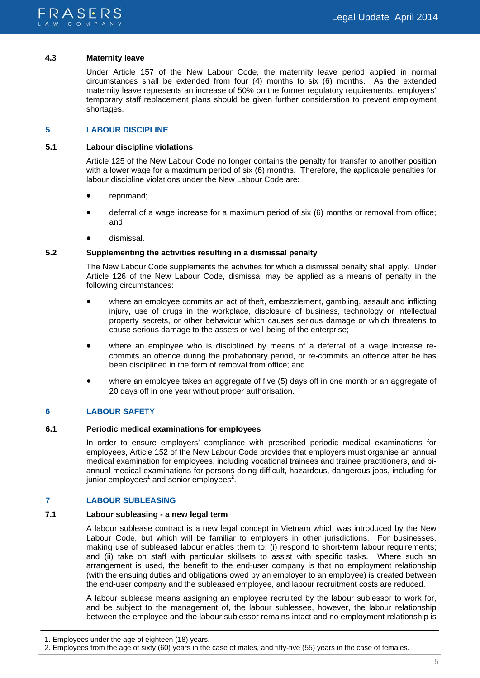<span id="page-4-0"></span>

#### **4.3 Maternity leave**

Under Article 157 of the New Labour Code, the maternity leave period applied in normal circumstances shall be extended from four (4) months to six (6) months. As the extended maternity leave represents an increase of 50% on the former regulatory requirements, employers' temporary staff replacement plans should be given further consideration to prevent employment shortages.

#### **5 LABOUR DISCIPLINE**

#### **5.1 Labour discipline violations**

Article 125 of the New Labour Code no longer contains the penalty for transfer to another position with a lower wage for a maximum period of six (6) months. Therefore, the applicable penalties for labour discipline violations under the New Labour Code are:

- reprimand;
- deferral of a wage increase for a maximum period of six (6) months or removal from office; and
- dismissal.

#### **5.2 Supplementing the activities resulting in a dismissal penalty**

The New Labour Code supplements the activities for which a dismissal penalty shall apply. Under Article 126 of the New Labour Code, dismissal may be applied as a means of penalty in the following circumstances:

- where an employee commits an act of theft, embezzlement, gambling, assault and inflicting injury, use of drugs in the workplace, disclosure of business, technology or intellectual property secrets, or other behaviour which causes serious damage or which threatens to cause serious damage to the assets or well-being of the enterprise;
- where an employee who is disciplined by means of a deferral of a wage increase recommits an offence during the probationary period, or re-commits an offence after he has been disciplined in the form of removal from office; and
- where an employee takes an aggregate of five (5) days off in one month or an aggregate of 20 days off in one year without proper authorisation.

#### **6 LABOUR SAFETY**

#### **6.1 Periodic medical examinations for employees**

In order to ensure employers' compliance with prescribed periodic medical examinations for employees, Article 152 of the New Labour Code provides that employers must organise an annual medical examination for employees, including vocational trainees and trainee practitioners, and biannual medical examinations for persons doing difficult, hazardous, dangerous jobs, including for junior employees<sup>1</sup> and senior employees<sup>2</sup>.

#### **7 LABOUR SUBLEASING**

#### **7.1 Labour subleasing - a new legal term**

A labour sublease contract is a new legal concept in Vietnam which was introduced by the New Labour Code, but which will be familiar to employers in other jurisdictions. For businesses, making use of subleased labour enables them to: (i) respond to short-term labour requirements; and (ii) take on staff with particular skillsets to assist with specific tasks. Where such an arrangement is used, the benefit to the end-user company is that no employment relationship (with the ensuing duties and obligations owed by an employer to an employee) is created between the end-user company and the subleased employee, and labour recruitment costs are reduced.

A labour sublease means assigning an employee recruited by the labour sublessor to work for, and be subject to the management of, the labour sublessee, however, the labour relationship between the employee and the labour sublessor remains intact and no employment relationship is

<sup>1.</sup> Employees under the age of eighteen (18) years.

<sup>2.</sup> Employees from the age of sixty (60) years in the case of males, and fifty-five (55) years in the case of females.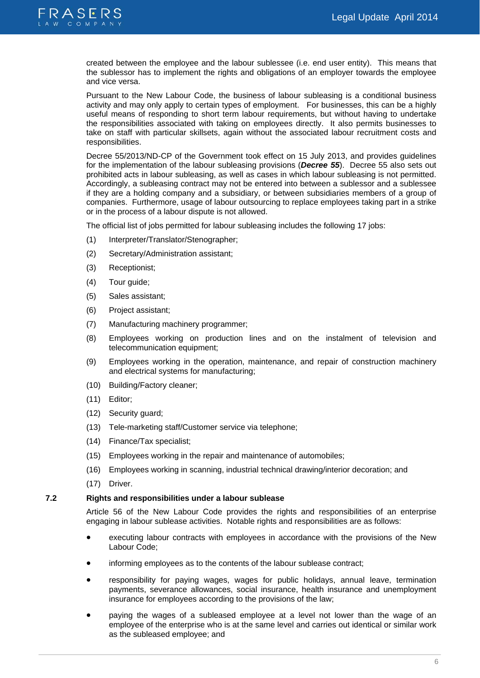

created between the employee and the labour sublessee (i.e. end user entity). This means that the sublessor has to implement the rights and obligations of an employer towards the employee and vice versa.

Pursuant to the New Labour Code, the business of labour subleasing is a conditional business activity and may only apply to certain types of employment. For businesses, this can be a highly useful means of responding to short term labour requirements, but without having to undertake the responsibilities associated with taking on employees directly. It also permits businesses to take on staff with particular skillsets, again without the associated labour recruitment costs and responsibilities.

Decree 55/2013/ND-CP of the Government took effect on 15 July 2013, and provides guidelines for the implementation of the labour subleasing provisions (*Decree 55*). Decree 55 also sets out prohibited acts in labour subleasing, as well as cases in which labour subleasing is not permitted. Accordingly, a subleasing contract may not be entered into between a sublessor and a sublessee if they are a holding company and a subsidiary, or between subsidiaries members of a group of companies. Furthermore, usage of labour outsourcing to replace employees taking part in a strike or in the process of a labour dispute is not allowed.

The official list of jobs permitted for labour subleasing includes the following 17 jobs:

- (1) Interpreter/Translator/Stenographer;
- (2) Secretary/Administration assistant;
- (3) Receptionist;
- (4) Tour guide;
- (5) Sales assistant;
- (6) Project assistant;
- (7) Manufacturing machinery programmer;
- (8) Employees working on production lines and on the instalment of television and telecommunication equipment;
- (9) Employees working in the operation, maintenance, and repair of construction machinery and electrical systems for manufacturing;
- (10) Building/Factory cleaner;
- (11) Editor;
- (12) Security guard;
- (13) Tele-marketing staff/Customer service via telephone;
- (14) Finance/Tax specialist;
- (15) Employees working in the repair and maintenance of automobiles;
- (16) Employees working in scanning, industrial technical drawing/interior decoration; and
- (17) Driver.

#### **7.2 Rights and responsibilities under a labour sublease**

Article 56 of the New Labour Code provides the rights and responsibilities of an enterprise engaging in labour sublease activities. Notable rights and responsibilities are as follows:

- executing labour contracts with employees in accordance with the provisions of the New Labour Code;
- informing employees as to the contents of the labour sublease contract;
- responsibility for paying wages, wages for public holidays, annual leave, termination payments, severance allowances, social insurance, health insurance and unemployment insurance for employees according to the provisions of the law;
- paying the wages of a subleased employee at a level not lower than the wage of an employee of the enterprise who is at the same level and carries out identical or similar work as the subleased employee; and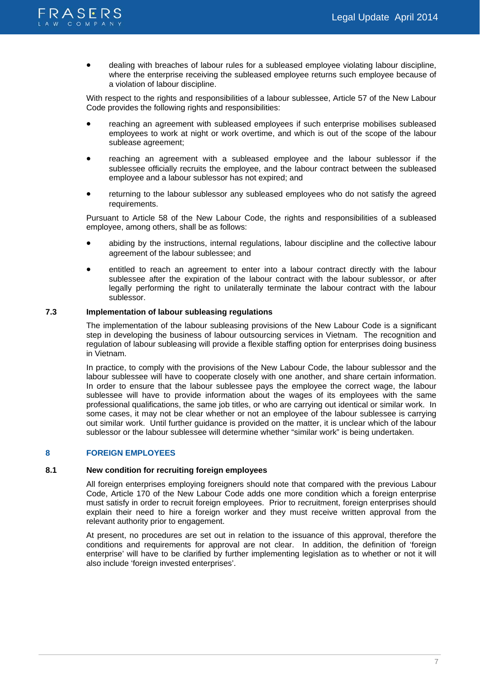<span id="page-6-0"></span>

 dealing with breaches of labour rules for a subleased employee violating labour discipline, where the enterprise receiving the subleased employee returns such employee because of a violation of labour discipline.

With respect to the rights and responsibilities of a labour sublessee, Article 57 of the New Labour Code provides the following rights and responsibilities:

- reaching an agreement with subleased employees if such enterprise mobilises subleased employees to work at night or work overtime, and which is out of the scope of the labour sublease agreement;
- reaching an agreement with a subleased employee and the labour sublessor if the sublessee officially recruits the employee, and the labour contract between the subleased employee and a labour sublessor has not expired; and
- returning to the labour sublessor any subleased employees who do not satisfy the agreed requirements.

Pursuant to Article 58 of the New Labour Code, the rights and responsibilities of a subleased employee, among others, shall be as follows:

- abiding by the instructions, internal regulations, labour discipline and the collective labour agreement of the labour sublessee; and
- entitled to reach an agreement to enter into a labour contract directly with the labour sublessee after the expiration of the labour contract with the labour sublessor, or after legally performing the right to unilaterally terminate the labour contract with the labour sublessor.

#### **7.3 Implementation of labour subleasing regulations**

The implementation of the labour subleasing provisions of the New Labour Code is a significant step in developing the business of labour outsourcing services in Vietnam. The recognition and regulation of labour subleasing will provide a flexible staffing option for enterprises doing business in Vietnam.

In practice, to comply with the provisions of the New Labour Code, the labour sublessor and the labour sublessee will have to cooperate closely with one another, and share certain information. In order to ensure that the labour sublessee pays the employee the correct wage, the labour sublessee will have to provide information about the wages of its employees with the same professional qualifications, the same job titles, or who are carrying out identical or similar work. In some cases, it may not be clear whether or not an employee of the labour sublessee is carrying out similar work. Until further guidance is provided on the matter, it is unclear which of the labour sublessor or the labour sublessee will determine whether "similar work" is being undertaken.

#### **8 FOREIGN EMPLOYEES**

#### **8.1 New condition for recruiting foreign employees**

All foreign enterprises employing foreigners should note that compared with the previous Labour Code, Article 170 of the New Labour Code adds one more condition which a foreign enterprise must satisfy in order to recruit foreign employees. Prior to recruitment, foreign enterprises should explain their need to hire a foreign worker and they must receive written approval from the relevant authority prior to engagement.

At present, no procedures are set out in relation to the issuance of this approval, therefore the conditions and requirements for approval are not clear. In addition, the definition of 'foreign enterprise' will have to be clarified by further implementing legislation as to whether or not it will also include 'foreign invested enterprises'.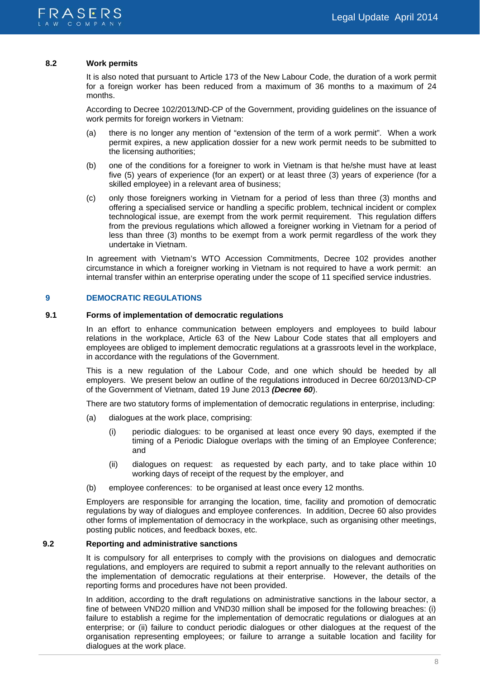

#### **8.2 Work permits**

It is also noted that pursuant to Article 173 of the New Labour Code, the duration of a work permit for a foreign worker has been reduced from a maximum of 36 months to a maximum of 24 months.

According to Decree 102/2013/ND-CP of the Government, providing guidelines on the issuance of work permits for foreign workers in Vietnam:

- (a) there is no longer any mention of "extension of the term of a work permit". When a work permit expires, a new application dossier for a new work permit needs to be submitted to the licensing authorities;
- (b) one of the conditions for a foreigner to work in Vietnam is that he/she must have at least five (5) years of experience (for an expert) or at least three (3) years of experience (for a skilled employee) in a relevant area of business;
- (c) only those foreigners working in Vietnam for a period of less than three (3) months and offering a specialised service or handling a specific problem, technical incident or complex technological issue, are exempt from the work permit requirement. This regulation differs from the previous regulations which allowed a foreigner working in Vietnam for a period of less than three (3) months to be exempt from a work permit regardless of the work they undertake in Vietnam.

In agreement with Vietnam's WTO Accession Commitments, Decree 102 provides another circumstance in which a foreigner working in Vietnam is not required to have a work permit: an internal transfer within an enterprise operating under the scope of 11 specified service industries.

#### **9 DEMOCRATIC REGULATIONS**

#### **9.1 Forms of implementation of democratic regulations**

In an effort to enhance communication between employers and employees to build labour relations in the workplace, Article 63 of the New Labour Code states that all employers and employees are obliged to implement democratic regulations at a grassroots level in the workplace, in accordance with the regulations of the Government.

This is a new regulation of the Labour Code, and one which should be heeded by all employers. We present below an outline of the regulations introduced in Decree 60/2013/ND-CP of the Government of Vietnam, dated 19 June 2013 *(Decree 60*).

There are two statutory forms of implementation of democratic regulations in enterprise, including:

- (a) dialogues at the work place, comprising:
	- (i) periodic dialogues: to be organised at least once every 90 days, exempted if the timing of a Periodic Dialogue overlaps with the timing of an Employee Conference; and
	- (ii) dialogues on request: as requested by each party, and to take place within 10 working days of receipt of the request by the employer, and
- (b) employee conferences: to be organised at least once every 12 months.

Employers are responsible for arranging the location, time, facility and promotion of democratic regulations by way of dialogues and employee conferences. In addition, Decree 60 also provides other forms of implementation of democracy in the workplace, such as organising other meetings, posting public notices, and feedback boxes, etc.

#### **9.2 Reporting and administrative sanctions**

It is compulsory for all enterprises to comply with the provisions on dialogues and democratic regulations, and employers are required to submit a report annually to the relevant authorities on the implementation of democratic regulations at their enterprise. However, the details of the reporting forms and procedures have not been provided.

In addition, according to the draft regulations on administrative sanctions in the labour sector, a fine of between VND20 million and VND30 million shall be imposed for the following breaches: (i) failure to establish a regime for the implementation of democratic regulations or dialogues at an enterprise; or (ii) failure to conduct periodic dialogues or other dialogues at the request of the organisation representing employees; or failure to arrange a suitable location and facility for dialogues at the work place.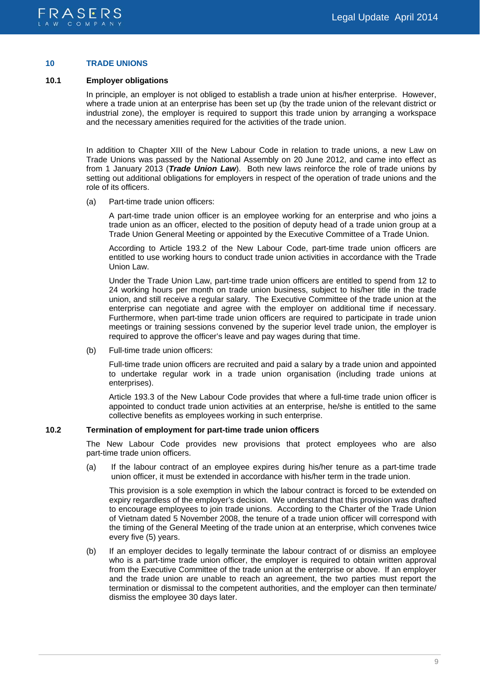<span id="page-8-0"></span>

#### **10 TRADE UNIONS**

#### **10.1 Employer obligations**

In principle, an employer is not obliged to establish a trade union at his/her enterprise. However, where a trade union at an enterprise has been set up (by the trade union of the relevant district or industrial zone), the employer is required to support this trade union by arranging a workspace and the necessary amenities required for the activities of the trade union.

In addition to Chapter XIII of the New Labour Code in relation to trade unions, a new Law on Trade Unions was passed by the National Assembly on 20 June 2012, and came into effect as from 1 January 2013 (*Trade Union Law*). Both new laws reinforce the role of trade unions by setting out additional obligations for employers in respect of the operation of trade unions and the role of its officers.

(a) Part-time trade union officers:

A part-time trade union officer is an employee working for an enterprise and who joins a trade union as an officer, elected to the position of deputy head of a trade union group at a Trade Union General Meeting or appointed by the Executive Committee of a Trade Union.

According to Article 193.2 of the New Labour Code, part-time trade union officers are entitled to use working hours to conduct trade union activities in accordance with the Trade Union Law.

Under the Trade Union Law, part-time trade union officers are entitled to spend from 12 to 24 working hours per month on trade union business, subject to his/her title in the trade union, and still receive a regular salary. The Executive Committee of the trade union at the enterprise can negotiate and agree with the employer on additional time if necessary. Furthermore, when part-time trade union officers are required to participate in trade union meetings or training sessions convened by the superior level trade union, the employer is required to approve the officer's leave and pay wages during that time.

(b) Full-time trade union officers:

Full-time trade union officers are recruited and paid a salary by a trade union and appointed to undertake regular work in a trade union organisation (including trade unions at enterprises).

Article 193.3 of the New Labour Code provides that where a full-time trade union officer is appointed to conduct trade union activities at an enterprise, he/she is entitled to the same collective benefits as employees working in such enterprise.

#### **10.2 Termination of employment for part-time trade union officers**

The New Labour Code provides new provisions that protect employees who are also part-time trade union officers.

(a) If the labour contract of an employee expires during his/her tenure as a part-time trade union officer, it must be extended in accordance with his/her term in the trade union.

This provision is a sole exemption in which the labour contract is forced to be extended on expiry regardless of the employer's decision. We understand that this provision was drafted to encourage employees to join trade unions. According to the Charter of the Trade Union of Vietnam dated 5 November 2008, the tenure of a trade union officer will correspond with the timing of the General Meeting of the trade union at an enterprise, which convenes twice every five (5) years.

(b) If an employer decides to legally terminate the labour contract of or dismiss an employee who is a part-time trade union officer, the employer is required to obtain written approval from the Executive Committee of the trade union at the enterprise or above. If an employer and the trade union are unable to reach an agreement, the two parties must report the termination or dismissal to the competent authorities, and the employer can then terminate/ dismiss the employee 30 days later.